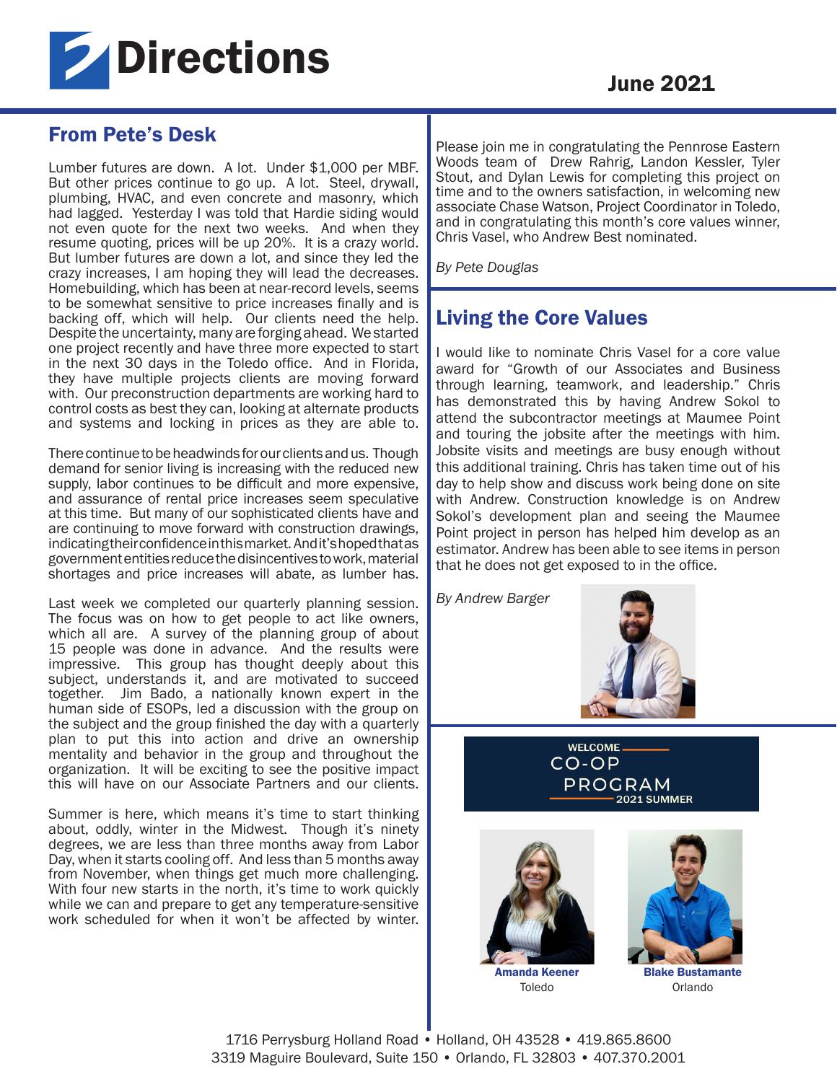

# From Pete's Desk

Lumber futures are down. A lot. Under \$1,000 per MBF. But other prices continue to go up. A lot. Steel, drywall, plumbing, HVAC, and even concrete and masonry, which had lagged. Yesterday I was told that Hardie siding would not even quote for the next two weeks. And when they resume quoting, prices will be up 20%. It is a crazy world. But lumber futures are down a lot, and since they led the crazy increases, I am hoping they will lead the decreases. Homebuilding, which has been at near-record levels, seems to be somewhat sensitive to price increases finally and is backing off, which will help. Our clients need the help. Despite the uncertainty, many are forging ahead. We started one project recently and have three more expected to start in the next 30 days in the Toledo office. And in Florida, they have multiple projects clients are moving forward with. Our preconstruction departments are working hard to control costs as best they can, looking at alternate products and systems and locking in prices as they are able to.

There continue to be headwinds for our clients and us. Though demand for senior living is increasing with the reduced new supply, labor continues to be difficult and more expensive, and assurance of rental price increases seem speculative at this time. But many of our sophisticated clients have and are continuing to move forward with construction drawings, indicating their confidence in this market. And it's hoped that as government entities reduce the disincentives to work, material shortages and price increases will abate, as lumber has.

Last week we completed our quarterly planning session. The focus was on how to get people to act like owners, which all are. A survey of the planning group of about 15 people was done in advance. And the results were impressive. This group has thought deeply about this subject, understands it, and are motivated to succeed together. Jim Bado, a nationally known expert in the human side of ESOPs, led a discussion with the group on the subject and the group finished the day with a quarterly plan to put this into action and drive an ownership mentality and behavior in the group and throughout the organization. It will be exciting to see the positive impact this will have on our Associate Partners and our clients.

Summer is here, which means it's time to start thinking about, oddly, winter in the Midwest. Though it's ninety degrees, we are less than three months away from Labor Day, when it starts cooling off. And less than 5 months away from November, when things get much more challenging. With four new starts in the north, it's time to work quickly while we can and prepare to get any temperature-sensitive work scheduled for when it won't be affected by winter.

Please join me in congratulating the Pennrose Eastern Woods team of Drew Rahrig, Landon Kessler, Tyler Stout, and Dylan Lewis for completing this project on time and to the owners satisfaction, in welcoming new associate Chase Watson, Project Coordinator in Toledo, and in congratulating this month's core values winner, Chris Vasel, who Andrew Best nominated.

*By Pete Douglas* 

## Living the Core Values

I would like to nominate Chris Vasel for a core value award for "Growth of our Associates and Business through learning, teamwork, and leadership." Chris has demonstrated this by having Andrew Sokol to attend the subcontractor meetings at Maumee Point and touring the jobsite after the meetings with him. Jobsite visits and meetings are busy enough without this additional training. Chris has taken time out of his day to help show and discuss work being done on site with Andrew. Construction knowledge is on Andrew Sokol's development plan and seeing the Maumee Point project in person has helped him develop as an estimator. Andrew has been able to see items in person that he does not get exposed to in the office.

*By Andrew Barger* 



WELCOME. CO-OP **PROGRAM** 2021 SUMMER





Amanda Keener Toledo

Blake Bustamante Orlando